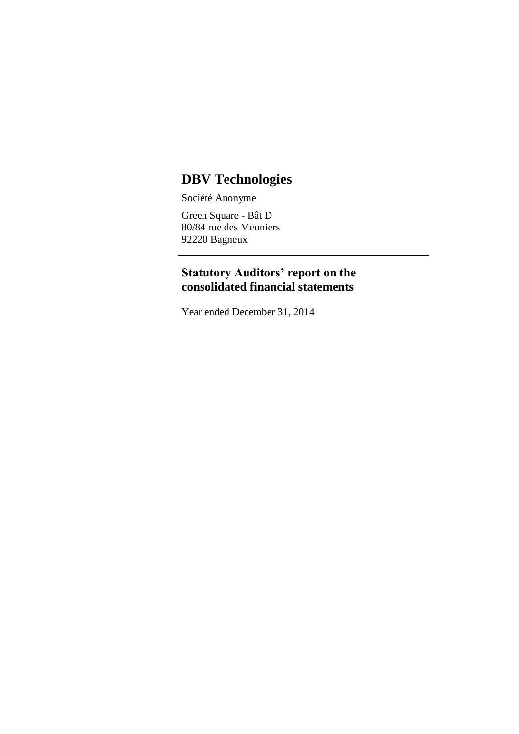# **DBV Technologies**

Société Anonyme

Green Square - Bât D 80/84 rue des Meuniers 92220 Bagneux

### **Statutory Auditors' report on the consolidated financial statements**

Year ended December 31, 2014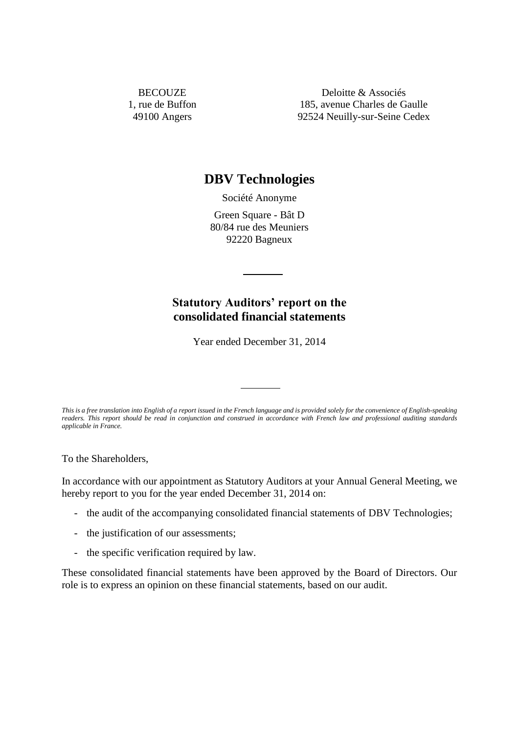**BECOUZE** 1, rue de Buffon 49100 Angers

Deloitte & Associés 185, avenue Charles de Gaulle 92524 Neuilly-sur-Seine Cedex

## **DBV Technologies**

Société Anonyme

Green Square - Bât D 80/84 rue des Meuniers 92220 Bagneux

# **Statutory Auditors' report on the consolidated financial statements**

Year ended December 31, 2014

*This is a free translation into English of a report issued in the French language and is provided solely for the convenience of English-speaking readers. This report should be read in conjunction and construed in accordance with French law and professional auditing standards applicable in France.*

To the Shareholders,

In accordance with our appointment as Statutory Auditors at your Annual General Meeting, we hereby report to you for the year ended December 31, 2014 on:

- the audit of the accompanying consolidated financial statements of DBV Technologies;
- the justification of our assessments;
- the specific verification required by law.

These consolidated financial statements have been approved by the Board of Directors. Our role is to express an opinion on these financial statements, based on our audit.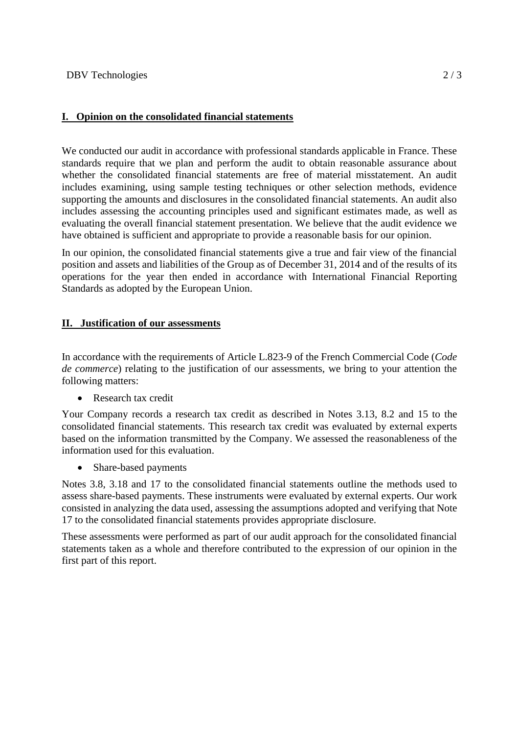### **I. Opinion on the consolidated financial statements**

We conducted our audit in accordance with professional standards applicable in France. These standards require that we plan and perform the audit to obtain reasonable assurance about whether the consolidated financial statements are free of material misstatement. An audit includes examining, using sample testing techniques or other selection methods, evidence supporting the amounts and disclosures in the consolidated financial statements. An audit also includes assessing the accounting principles used and significant estimates made, as well as evaluating the overall financial statement presentation. We believe that the audit evidence we have obtained is sufficient and appropriate to provide a reasonable basis for our opinion.

In our opinion, the consolidated financial statements give a true and fair view of the financial position and assets and liabilities of the Group as of December 31, 2014 and of the results of its operations for the year then ended in accordance with International Financial Reporting Standards as adopted by the European Union.

#### **II. Justification of our assessments**

In accordance with the requirements of Article L.823-9 of the French Commercial Code (*Code de commerce*) relating to the justification of our assessments, we bring to your attention the following matters:

• Research tax credit

Your Company records a research tax credit as described in Notes 3.13, 8.2 and 15 to the consolidated financial statements. This research tax credit was evaluated by external experts based on the information transmitted by the Company. We assessed the reasonableness of the information used for this evaluation.

• Share-based payments

Notes 3.8, 3.18 and 17 to the consolidated financial statements outline the methods used to assess share-based payments. These instruments were evaluated by external experts. Our work consisted in analyzing the data used, assessing the assumptions adopted and verifying that Note 17 to the consolidated financial statements provides appropriate disclosure.

These assessments were performed as part of our audit approach for the consolidated financial statements taken as a whole and therefore contributed to the expression of our opinion in the first part of this report.